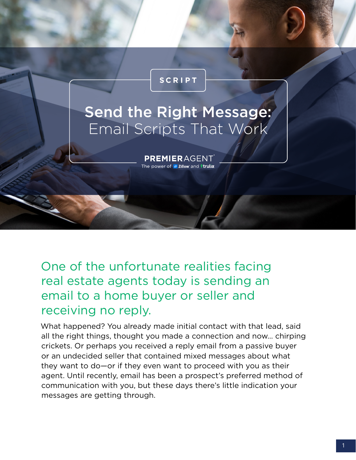#### **SCRIPT**

# Send the Right Message: Email Scripts That Work

PREMIERAGENT The power of **2** Zillow and *letulia* 

One of the unfortunate realities facing real estate agents today is sending an email to a home buyer or seller and receiving no reply.

What happened? You already made initial contact with that lead, said all the right things, thought you made a connection and now… chirping crickets. Or perhaps you received a reply email from a passive buyer or an undecided seller that contained mixed messages about what they want to do—or if they even want to proceed with you as their agent. Until recently, email has been a prospect's preferred method of communication with you, but these days there's little indication your messages are getting through.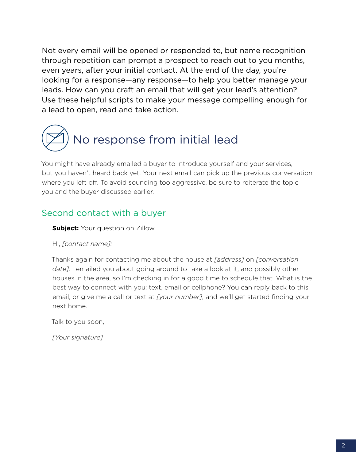Not every email will be opened or responded to, but name recognition through repetition can prompt a prospect to reach out to you months, even years, after your initial contact. At the end of the day, you're looking for a response—any response—to help you better manage your leads. How can you craft an email that will get your lead's attention? Use these helpful scripts to make your message compelling enough for a lead to open, read and take action.



You might have already emailed a buyer to introduce yourself and your services, but you haven't heard back yet. Your next email can pick up the previous conversation where you left off. To avoid sounding too aggressive, be sure to reiterate the topic you and the buyer discussed earlier.

#### Second contact with a buyer

**Subject:** Your question on Zillow

Hi, *[contact name]:*

Thanks again for contacting me about the house at *[address]* on *[conversation date].* I emailed you about going around to take a look at it, and possibly other houses in the area, so I'm checking in for a good time to schedule that. What is the best way to connect with you: text, email or cellphone? You can reply back to this email, or give me a call or text at *[your number]*, and we'll get started finding your next home.

Talk to you soon,

*[Your signature]*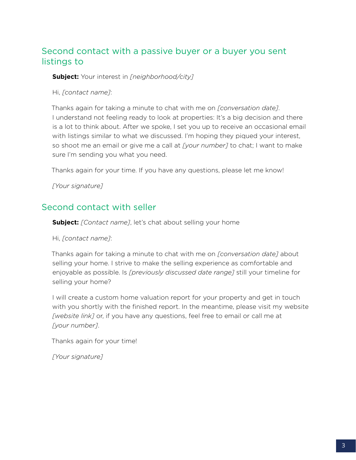#### Second contact with a passive buyer or a buyer you sent listings to

**Subject:** Your interest in *[neighborhood/city]*

Hi, *[contact name]*:

Thanks again for taking a minute to chat with me on *[conversation date]*. I understand not feeling ready to look at properties: It's a big decision and there is a lot to think about. After we spoke, I set you up to receive an occasional email with listings similar to what we discussed. I'm hoping they piqued your interest, so shoot me an email or give me a call at *[your number]* to chat; I want to make sure I'm sending you what you need.

Thanks again for your time. If you have any questions, please let me know!

*[Your signature]*

#### Second contact with seller

**Subject:** *[Contact name]*, let's chat about selling your home

Hi, *[contact name]*:

Thanks again for taking a minute to chat with me on *[conversation date]* about selling your home. I strive to make the selling experience as comfortable and enjoyable as possible. Is *[previously discussed date range]* still your timeline for selling your home?

I will create a custom home valuation report for your property and get in touch with you shortly with the finished report. In the meantime, please visit my website *[website link]* or, if you have any questions, feel free to email or call me at *[your number]*.

Thanks again for your time!

*[Your signature]*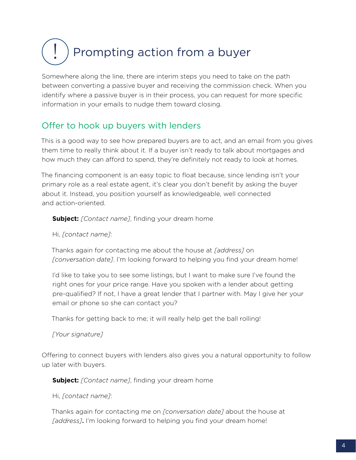## Prompting action from a buyer !

Somewhere along the line, there are interim steps you need to take on the path between converting a passive buyer and receiving the commission check. When you identify where a passive buyer is in their process, you can request for more specific information in your emails to nudge them toward closing.

### Offer to hook up buyers with lenders

This is a good way to see how prepared buyers are to act, and an email from you gives them time to really think about it. If a buyer isn't ready to talk about mortgages and how much they can afford to spend, they're definitely not ready to look at homes.

The financing component is an easy topic to float because, since lending isn't your primary role as a real estate agent, it's clear you don't benefit by asking the buyer about it. Instead, you position yourself as knowledgeable, well connected and action-oriented.

**Subject:** *[Contact name]*, finding your dream home

Hi, *[contact name]*:

Thanks again for contacting me about the house at *[address]* on *[conversation date]*. I'm looking forward to helping you find your dream home!

I'd like to take you to see some listings, but I want to make sure I've found the right ones for your price range. Have you spoken with a lender about getting pre-qualified? If not, I have a great lender that I partner with. May I give her your email or phone so she can contact you?

Thanks for getting back to me; it will really help get the ball rolling!

*[Your signature]*

Offering to connect buyers with lenders also gives you a natural opportunity to follow up later with buyers.

**Subject:** *[Contact name]*, finding your dream home

Hi, *[contact name]*:

Thanks again for contacting me on *[conversation date]* about the house at *[address]*. I'm looking forward to helping you find your dream home!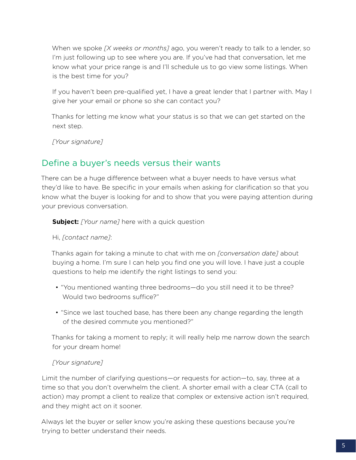When we spoke *[X weeks or months]* ago, you weren't ready to talk to a lender, so I'm just following up to see where you are. If you've had that conversation, let me know what your price range is and I'll schedule us to go view some listings. When is the best time for you?

If you haven't been pre-qualified yet, I have a great lender that I partner with. May I give her your email or phone so she can contact you?

Thanks for letting me know what your status is so that we can get started on the next step.

*[Your signature]*

#### Define a buyer's needs versus their wants

There can be a huge difference between what a buyer needs to have versus what they'd like to have. Be specific in your emails when asking for clarification so that you know what the buyer is looking for and to show that you were paying attention during your previous conversation.

**Subject:** *[Your name]* here with a quick question

Hi, *[contact name]*:

Thanks again for taking a minute to chat with me on *[conversation date]* about buying a home. I'm sure I can help you find one you will love. I have just a couple questions to help me identify the right listings to send you:

- "You mentioned wanting three bedrooms—do you still need it to be three? Would two bedrooms suffice?"
- "Since we last touched base, has there been any change regarding the length of the desired commute you mentioned?"

Thanks for taking a moment to reply; it will really help me narrow down the search for your dream home!

#### *[Your signature]*

Limit the number of clarifying questions—or requests for action—to, say, three at a time so that you don't overwhelm the client. A shorter email with a clear CTA (call to action) may prompt a client to realize that complex or extensive action isn't required, and they might act on it sooner.

Always let the buyer or seller know you're asking these questions because you're trying to better understand their needs.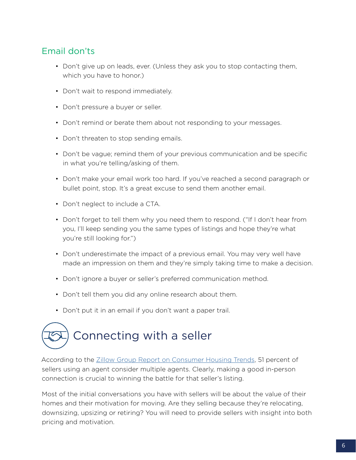#### Email don'ts

- Don't give up on leads, ever. (Unless they ask you to stop contacting them, which you have to honor.)
- Don't wait to respond immediately.
- Don't pressure a buyer or seller.
- Don't remind or berate them about not responding to your messages.
- Don't threaten to stop sending emails.
- Don't be vague; remind them of your previous communication and be specific in what you're telling/asking of them.
- Don't make your email work too hard. If you've reached a second paragraph or bullet point, stop. It's a great excuse to send them another email.
- Don't neglect to include a CTA.
- Don't forget to tell them why you need them to respond. ("If I don't hear from you, I'll keep sending you the same types of listings and hope they're what you're still looking for.")
- Don't underestimate the impact of a previous email. You may very well have made an impression on them and they're simply taking time to make a decision.
- Don't ignore a buyer or seller's preferred communication method.
- Don't tell them you did any online research about them.
- Don't put it in an email if you don't want a paper trail.



According to the [Zillow Group Report on Consumer Housing Trends,](http://www.zillow.com/research/zillow-group-report-2016-13279/#researchsell) 51 percent of sellers using an agent consider multiple agents. Clearly, making a good in-person connection is crucial to winning the battle for that seller's listing.

Most of the initial conversations you have with sellers will be about the value of their homes and their motivation for moving. Are they selling because they're relocating, downsizing, upsizing or retiring? You will need to provide sellers with insight into both pricing and motivation.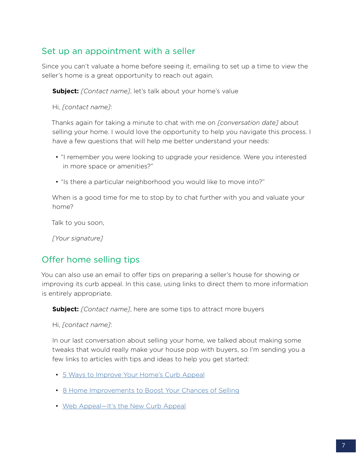#### Set up an appointment with a seller

Since you can't valuate a home before seeing it, emailing to set up a time to view the seller's home is a great opportunity to reach out again.

**Subject:** *[Contact name]*, let's talk about your home's value

Hi, *[contact name]*:

Thanks again for taking a minute to chat with me on *[conversation date]* about selling your home. I would love the opportunity to help you navigate this process. I have a few questions that will help me better understand your needs:

- "I remember you were looking to upgrade your residence. Were you interested in more space or amenities?"
- "Is there a particular neighborhood you would like to move into?"

When is a good time for me to stop by to chat further with you and valuate your home?

Talk to you soon,

*[Your signature]*

#### Offer home selling tips

You can also use an email to offer tips on preparing a seller's house for showing or improving its curb appeal. In this case, using links to direct them to more information is entirely appropriate.

**Subject:** *[Contact name]*, here are some tips to attract more buyers

Hi, *[contact name]*:

In our last conversation about selling your home, we talked about making some tweaks that would really make your house pop with buyers, so I'm sending you a few links to articles with tips and ideas to help you get started:

- [5 Ways to Improve Your Home's Curb Appeal](http://www.zillow.com/blog/5-ways-to-improve-curb-appeal-149816/)
- [8 Home Improvements to Boost Your Chances of Selling](http://www.zillow.com/blog/8-improvements-to-sell-home-148390/)
- [Web Appeal—It's the New Curb Appeal](http://www.zillow.com/blog/web-appeal-its-the-new-curb-appeal-9634/)